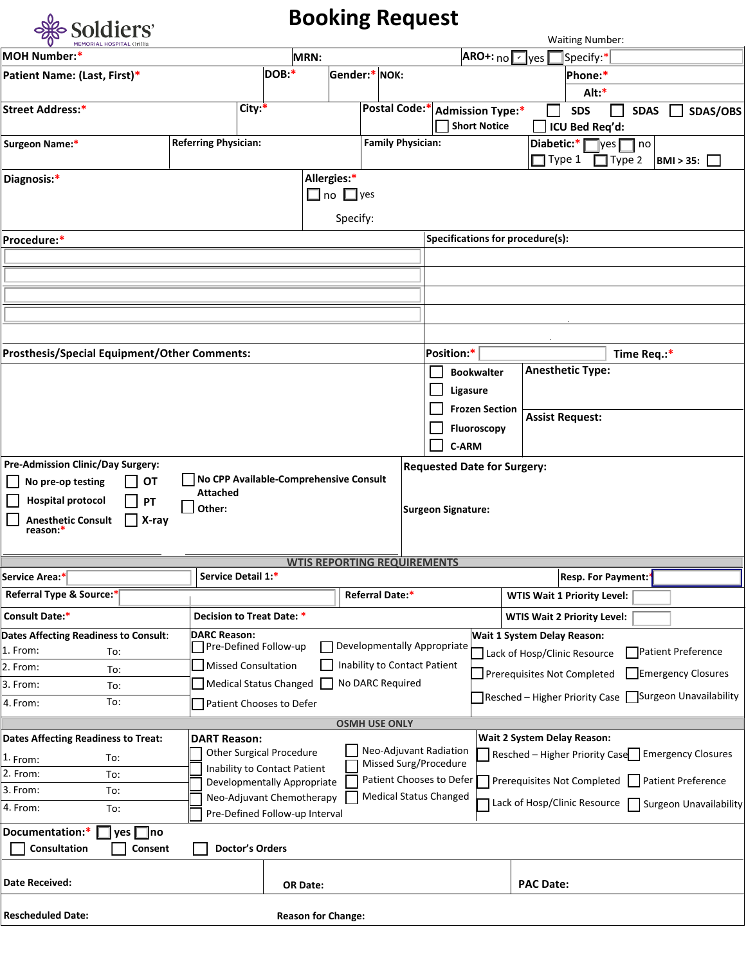

## **Booking Request**

| <b>OUGLUTO</b><br><b>MEMORIAL HOSPITAL Orillia</b>                  |                             |                                        |                                    |                                        |                                |                           |                                                   |                  |        | <b>Waiting Number:</b>                         |               |             |                           |                               |
|---------------------------------------------------------------------|-----------------------------|----------------------------------------|------------------------------------|----------------------------------------|--------------------------------|---------------------------|---------------------------------------------------|------------------|--------|------------------------------------------------|---------------|-------------|---------------------------|-------------------------------|
| <b>MOH Number:*</b>                                                 |                             |                                        | MRN:                               |                                        |                                |                           | $ARO+:_{\text{no}}$ $\sqrt{\frac{1}{\text{yes}}}$ |                  |        | Specify:*                                      |               |             |                           |                               |
| Patient Name: (Last, First)*                                        |                             | DOB:*                                  |                                    | Gender:* NOK:                          |                                |                           |                                                   |                  |        | Phone:*                                        |               |             |                           |                               |
|                                                                     |                             |                                        |                                    |                                        |                                |                           |                                                   |                  |        | Alt:*                                          |               |             |                           |                               |
| <b>Street Address:*</b>                                             |                             | City:*                                 |                                    |                                        | Postal Code:* Admission Type:* |                           | Short Notice                                      |                  |        | <b>SDS</b><br>ICU Bed Req'd:                   |               | <b>SDAS</b> |                           | SDAS/OBS                      |
| Surgeon Name:*                                                      | <b>Referring Physician:</b> |                                        |                                    |                                        | <b>Family Physician:</b>       |                           |                                                   |                  | Type 1 | Diabetic:* $\Box$ yes $\Box$ no                | $\Box$ Type 2 |             | <b>BMI &gt; 35:</b>       |                               |
| Diagnosis:*                                                         |                             |                                        | Allergies:*                        | $\square$ no $\square$ yes<br>Specify: |                                |                           |                                                   |                  |        |                                                |               |             |                           |                               |
| Procedure:*                                                         |                             |                                        |                                    |                                        |                                |                           | Specifications for procedure(s):                  |                  |        |                                                |               |             |                           |                               |
|                                                                     |                             |                                        |                                    |                                        |                                |                           |                                                   |                  |        |                                                |               |             |                           |                               |
|                                                                     |                             |                                        |                                    |                                        |                                |                           |                                                   |                  |        |                                                |               |             |                           |                               |
|                                                                     |                             |                                        |                                    |                                        |                                |                           |                                                   |                  |        |                                                |               |             |                           |                               |
|                                                                     |                             |                                        |                                    |                                        |                                |                           |                                                   |                  |        |                                                |               |             |                           |                               |
|                                                                     |                             |                                        |                                    |                                        |                                |                           |                                                   |                  |        |                                                |               |             |                           |                               |
| <b>Prosthesis/Special Equipment/Other Comments:</b>                 |                             |                                        |                                    |                                        |                                | Position:*                |                                                   |                  |        |                                                |               |             |                           |                               |
|                                                                     |                             |                                        |                                    |                                        |                                |                           | <b>Bookwalter</b>                                 |                  |        | <b>Anesthetic Type:</b>                        |               | Time Req.:* |                           |                               |
|                                                                     |                             |                                        |                                    |                                        |                                | Ligasure                  |                                                   |                  |        |                                                |               |             |                           |                               |
|                                                                     |                             |                                        |                                    |                                        |                                |                           | <b>Frozen Section</b>                             |                  |        |                                                |               |             |                           |                               |
|                                                                     |                             |                                        |                                    |                                        |                                |                           |                                                   |                  |        | <b>Assist Request:</b>                         |               |             |                           |                               |
|                                                                     |                             |                                        |                                    |                                        |                                |                           | <b>Fluoroscopy</b>                                |                  |        |                                                |               |             |                           |                               |
|                                                                     |                             |                                        |                                    |                                        |                                | C-ARM                     |                                                   |                  |        |                                                |               |             |                           |                               |
| <b>Pre-Admission Clinic/Day Surgery:</b><br>No pre-op testing<br>OT |                             | No CPP Available-Comprehensive Consult |                                    |                                        |                                |                           | <b>Requested Date for Surgery:</b>                |                  |        |                                                |               |             |                           |                               |
|                                                                     | <b>Attached</b>             |                                        |                                    |                                        |                                |                           |                                                   |                  |        |                                                |               |             |                           |                               |
| <b>Hospital protocol</b><br>  PT                                    | Other:                      |                                        |                                    |                                        |                                | <b>Surgeon Signature:</b> |                                                   |                  |        |                                                |               |             |                           |                               |
| <b>Anesthetic Consult</b><br>$\Box$ X-ray<br>reason:*               |                             |                                        |                                    |                                        |                                |                           |                                                   |                  |        |                                                |               |             |                           |                               |
|                                                                     |                             |                                        |                                    |                                        |                                |                           |                                                   |                  |        |                                                |               |             |                           |                               |
|                                                                     |                             |                                        | <b>WTIS REPORTING REQUIREMENTS</b> |                                        |                                |                           |                                                   |                  |        |                                                |               |             |                           |                               |
| Service Area:*                                                      | Service Detail 1:*          |                                        |                                    |                                        |                                |                           |                                                   |                  |        | <b>Resp. For Payment:</b>                      |               |             |                           |                               |
| Referral Type & Source:*                                            |                             |                                        |                                    |                                        | Referral Date:*                |                           |                                                   |                  |        | <b>WTIS Wait 1 Priority Level:</b>             |               |             |                           |                               |
| <b>Consult Date:*</b>                                               |                             | Decision to Treat Date: *              |                                    |                                        |                                |                           |                                                   |                  |        | <b>WTIS Wait 2 Priority Level:</b>             |               |             |                           |                               |
| Dates Affecting Readiness to Consult:                               | <b>DARC Reason:</b>         |                                        |                                    |                                        |                                |                           | Wait 1 System Delay Reason:                       |                  |        |                                                |               |             |                           |                               |
| 1. From:<br>To:                                                     |                             | Pre-Defined Follow-up                  |                                    |                                        | Developmentally Appropriate    |                           |                                                   |                  |        | Lack of Hosp/Clinic Resource                   |               |             | Patient Preference        |                               |
| 2. From:<br>To:                                                     |                             | <b>Missed Consultation</b>             |                                    |                                        | Inability to Contact Patient   |                           |                                                   |                  |        | Prerequisites Not Completed                    |               |             | Emergency Closures        |                               |
| 3. From:<br>To:                                                     |                             | <b>Medical Status Changed</b>          |                                    |                                        | No DARC Required               |                           |                                                   |                  |        | Resched - Higher Priority Case                 |               |             |                           | Surgeon Unavailability        |
| To:<br>4. From:                                                     |                             | Patient Chooses to Defer               |                                    |                                        |                                |                           |                                                   |                  |        |                                                |               |             |                           |                               |
|                                                                     |                             |                                        |                                    |                                        | <b>OSMH USE ONLY</b>           |                           |                                                   |                  |        |                                                |               |             |                           |                               |
| <b>Dates Affecting Readiness to Treat:</b>                          | <b>DART Reason:</b>         | <b>Other Surgical Procedure</b>        |                                    |                                        | Neo-Adjuvant Radiation         |                           |                                                   |                  |        | Wait 2 System Delay Reason:                    |               |             |                           |                               |
| To:<br>1. From:                                                     |                             | Inability to Contact Patient           |                                    |                                        | Missed Surg/Procedure          |                           |                                                   |                  |        | Resched - Higher Priority Case                 |               |             | <b>Emergency Closures</b> |                               |
| 2. From:<br>To:                                                     |                             | Developmentally Appropriate            |                                    |                                        | Patient Chooses to Defer       |                           |                                                   |                  |        | Prerequisites Not Completed Patient Preference |               |             |                           |                               |
| 3. From:<br>To:                                                     |                             | Neo-Adjuvant Chemotherapy              |                                    |                                        | <b>Medical Status Changed</b>  |                           |                                                   |                  |        | Lack of Hosp/Clinic Resource                   |               |             |                           | <b>Surgeon Unavailability</b> |
| 4. From:<br>To:                                                     |                             | Pre-Defined Follow-up Interval         |                                    |                                        |                                |                           |                                                   |                  |        |                                                |               |             |                           |                               |
| Documentation:*<br>$yes \Box$ no                                    |                             |                                        |                                    |                                        |                                |                           |                                                   |                  |        |                                                |               |             |                           |                               |
| Consultation<br>Consent                                             |                             | <b>Doctor's Orders</b>                 |                                    |                                        |                                |                           |                                                   |                  |        |                                                |               |             |                           |                               |
| Date Received:                                                      |                             |                                        | OR Date:                           |                                        |                                |                           |                                                   | <b>PAC Date:</b> |        |                                                |               |             |                           |                               |
| <b>Rescheduled Date:</b>                                            |                             |                                        | <b>Reason for Change:</b>          |                                        |                                |                           |                                                   |                  |        |                                                |               |             |                           |                               |